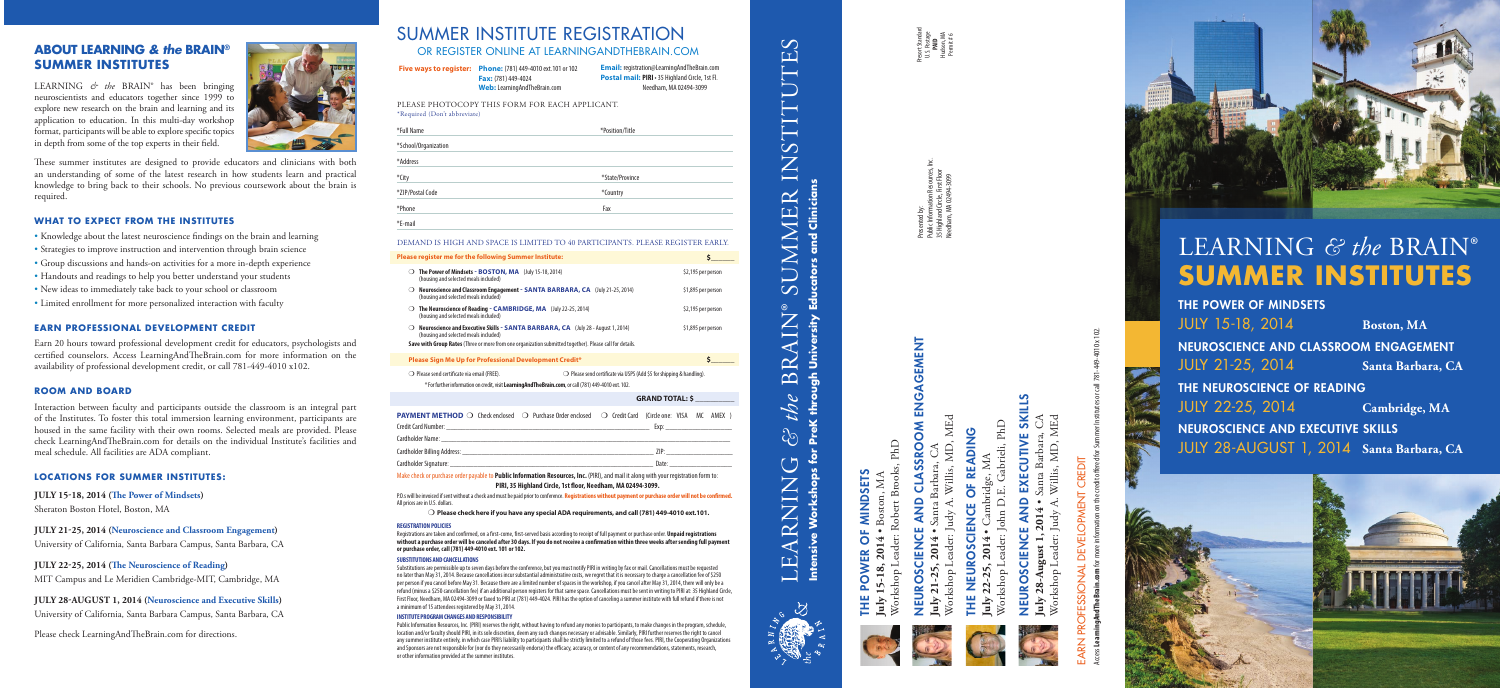#### SUMMER INSTITUTE REGISTRATION OR REGISTER ONLINE AT LEARNINGANDTHEBRAIN.COM

DEMAND IS HIGH AND SPACE IS LIMITED TO 40 PARTICIPANTS. PLEASE REGISTER EARLY.

Registrations are taken and confirmed, on a first-come, first-served basis according to receipt of full payment or purchase order. **Unpaid registrations without a purchase order will be canceled after 30 days. If you do not receive a confirmation within three weeks after sending full payment or purchase order, call (781) 449-4010 ext. 101 or 102.**

Make check or purchase order payable to **Public Information Resources, Inc.** (PIRI), and mail it along with your registration form to: **PIRI, 35 Highland Circle, 1st floor, Needham, MA 02494-3099.** 

P.O.s will be invoiced if sent without a check and must be paid prior to conference. **Registrations without payment or purchase order will not be confirmed.** All prices are in U.S. dollars.

#### m **Please check here if you have any special ADA requirements, and call (781) 449-4010 ext.101.**

#### **REGISTRATION POLICIES**

|                              | <b>Five ways to register: Phone:</b> (781) 449-4010 ext.101 or 102<br>Fax: (781) 449-4024<br><b>Web:</b> Learning And The Brain.com | <b>Email:</b> registration@LearningAndTheBrain.com<br>Postal mail: PIRI · 35 Highland Circle, 1st Fl.<br>Needham, MA 02494-3099 |
|------------------------------|-------------------------------------------------------------------------------------------------------------------------------------|---------------------------------------------------------------------------------------------------------------------------------|
| *Required (Don't abbreviate) | PLEASE PHOTOCOPY THIS FORM FOR EACH APPLICANT.                                                                                      |                                                                                                                                 |
| *Full Name                   |                                                                                                                                     | *Position/Title                                                                                                                 |
| *School/Organization         |                                                                                                                                     |                                                                                                                                 |
| *Address                     |                                                                                                                                     |                                                                                                                                 |
| *City                        |                                                                                                                                     | *State/Province                                                                                                                 |
| *ZIP/Postal Code             |                                                                                                                                     | *Country                                                                                                                        |
| *Phone                       |                                                                                                                                     | Fax                                                                                                                             |
| *E-mail                      |                                                                                                                                     |                                                                                                                                 |

| Please register me for the following Summer Institute:                                                                                                                                                                                            | Ś                      |
|---------------------------------------------------------------------------------------------------------------------------------------------------------------------------------------------------------------------------------------------------|------------------------|
| The Power of Mindsets - BOSTON, MA (July 15-18, 2014)<br>$\Omega$<br>(housing and selected meals included)                                                                                                                                        | \$2,195 per person     |
| Neuroscience and Classroom Engagement - SANTA BARBARA, CA (July 21-25, 2014)<br>(housing and selected meals included)                                                                                                                             | \$1,895 per person     |
| The Neuroscience of Reading - CAMBRIDGE, MA (July 22-25, 2014)<br>(housing and selected meals included)                                                                                                                                           | \$2,195 per person     |
| <b>Neuroscience and Executive Skills - SANTA BARBARA, CA</b> (July 28 - August 1, 2014)<br>(housing and selected meals included)<br>Save with Group Rates (Three or more from one organization submitted together). Please call for details.      | \$1,895 per person     |
| Please Sign Me Up for Professional Development Credit*                                                                                                                                                                                            | Ś.                     |
| $\bigcirc$ Please send certificate via email (FREE).<br>$\bigcirc$ Please send certificate via USPS (Add \$5 for shipping & handling).<br>* For further information on credit, visit Learning And The Brain.com, or call (781) 449-4010 ext. 102. |                        |
|                                                                                                                                                                                                                                                   | <b>GRAND TOTAL: \$</b> |
| <b>PAYMENT METHOD</b> $\bigcirc$ Check enclosed $\bigcirc$ Purchase Order enclosed<br>○ Credit Card (Circle one: VISA MC AMEX)                                                                                                                    |                        |
|                                                                                                                                                                                                                                                   |                        |

Cardholder Signature

#### **SUBSTITUTIONS AND CANCELLATIONS**

Substitutions are permissible up to seven days before the conference, but you must notify PIRI in writing by fax or mail. Cancellations must be requested no later than May 31, 2014. Because cancellations incur substantial administrative costs, we regret that it is necessary to charge a cancellation fee of \$250 per person if you cancel before May 31. Because there are a limited number of spaces in the workshop, if you cancel after May 31, 2014, there will only be a refund (minus a \$250 cancellation fee) if an additional person registers for that same space. Cancellations must be sent in writing to PIRI at: 35 Highland Circle, First Floor, Needham, MA 02494-3099 or faxed to PIRI at (781) 449-4024. PIRI has the option of canceling a summer institute with full refund if there is not a minimum of 15 attendees registered by May 31, 2014.

#### **INSTITUTE PROGRAM CHANGES AND RESPONSIBILITY**

THE POWER OF MINDSETS **MINDSET** ₩.

Brooks, PhD Workshop Leader: Robert Brooks, PhD **July 15-18, 2014** • Boston, MA



**OM ENGAGEMENT** NEUROSCIENCE AND CLASSROOM ENGAGEMENT CLASSRO **QNA** VEURO

MEd Workshop Leader: Judy A. Willis, MD, MEd MD, **July 21-25, 2014** • Santa Barbara, CA Willis,



Gabrieli, PhD READING THE NEUROSCIENCE OF READING **July 22-25, 2014** • Cambridge, MA 旨

Public Information Resources, Inc. (PIRI) reserves the right, without having to refund any monies to participants, to make changes in the program, schedule, location and/or faculty should PIRI, in its sole discretion, deem any such changes necessary or advisable. Similarly, PIRI further reserves the right to cancel any summer institute entirely, in which case PIRI's liability to participants shall be strictly limited to a refund of those fees. PIRI, the Cooperating Organizations and Sponsors are not responsible for (nor do they necessarily endorse) the efficacy, accuracy, or content of any recommendations, statements, research, or other information provided at the summer institutes.



# NEUROSCIENCE AND EXECUTIVE SKILLS EXECUTIVE SKILLS **QNA VEUROSCIENCE**

## **SHLO.** LEARNING *& the* BRAIN® SUMMER INSTITUTES STITU  $\overline{Z}$  $\overline{\phantom{0}}$ **Intensive Workshops for PreK through University Educators and Clinicians** Clinician UMMER and ucators  $\overline{\mathcal{S}}$  $\bar{c}$  $\bm{\mathsf{Z}}$  $\prec$  $\overrightarrow{\mathbf{r}}$  $\frac{c}{\sigma}$  $\infty$ ညြ orkshops NIN  $\mathbf{R}$ ntensive EA



**July 28-August 1, 2014** • Santa Barbara, CA Workshop Leader: Judy A. Willis, MD, MEd Willis, MD, MEd  $\frac{1}{2}$ 

# CREDIT EARN PROFESSIONAL DEVELOPMENT CREDIT  $\overline{4}$

LEARNING *& the* BRAIN® has been bringing neuroscientists and educators together since 1999 to explore new research on the brain and learning and its application to education. In this multi-day workshop format, participants will be able to explore specific topics in depth from some of the top experts in their field.



These summer institutes are designed to provide educators and clinicians with both an understanding of some of the latest research in how students learn and practical knowledge to bring back to their schools. No previous coursework about the brain is required.

#### **WHAT TO EXPECT FROM THE INSTITUTES**

- Knowledge about the latest neuroscience findings on the brain and learning
- Strategies to improve instruction and intervention through brain science
- Group discussions and hands-on activities for a more in-depth experience
- Handouts and readings to help you better understand your students
- New ideas to immediately take back to your school or classroom
- Limited enrollment for more personalized interaction with faculty

#### **EARN PROFESSIONAL DEVELOPMENT CREDIT**

Earn 20 hours toward professional development credit for educators, psychologists and certified counselors. Access LearningAndTheBrain.com for more information on the availability of professional development credit, or call 781-449-4010 x102.

#### **ROOM AND BOARD**

Interaction between faculty and participants outside the classroom is an integral part of the Institutes. To foster this total immersion learning environment, participants are housed in the same facility with their own rooms. Selected meals are provided. Please check LearningAndTheBrain.com for details on the individual Institute's facilities and meal schedule. All facilities are ADA compliant.

#### **LOCATIONS FOR SUMMER INSTITUTES:**

#### **JULY 15-18, 2014 (The Power of Mindsets )**

Sheraton Boston Hotel, Boston, MA

#### **JULY 21-25, 2014 (Neuroscience and Classroom Engagement)**

University of California, Santa Barbara Campus, Santa Barbara, CA

#### **JULY 22-25, 2014 (The Neuroscience of Reading)**

MIT Campus and Le Meridien Cambridge-MIT, Cambridge, MA

#### **JULY 28-AUGUST 1, 2014 (Neuroscience and Executive Skills )**

University of California, Santa Barbara Campus, Santa Barbara, CA

Please check LearningAndTheBrain.com for directions .

#### **ABOUT LEARNING** *& the* **BRAIN ® SUMMER INSTITUTES**

## LEARNING *& the* BRAIN® **SUMMER INSTITUTES**

THE POWER OF MINDSETS JULY 15-18, 2014 **Boston, MA** NEUROSCIENCE AND CLASSROOM ENGAGEMENT JULY 21-25, 2014 **Santa Barbara, CA** THE NEUROSCIENCE OF READING JULY 22-25, 2014 **Cambridge, MA** NEUROSCIENCE AND EXECUTIVE SKILLS JULY 28-AUGUST 1, 2014 **Santa Barbara, CA**





Presented by: Public Information Resources, Inc. 35 Highland Circle, First Floor Needham, MA 02494-3099

Access **LearningAndTheBrain.com** for more information on the credit offered for Summer Institutes or call 781-449-4010 x 102.



Workshop Leader: John D.E. Gabrieli, PhD



Presort Standard U.S. Postage **PAID** Hudson, MA Permit # 6